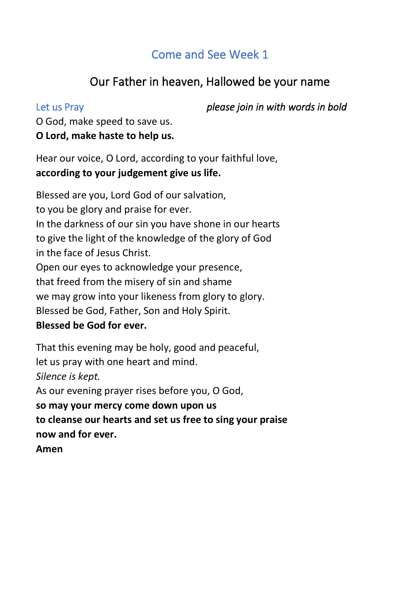## Come and See Week 1

## Our Father in heaven, Hallowed be your name

Let us Pray *please join in with words in bold*

O God, make speed to save us. **O Lord, make haste to help us.**

Hear our voice, O Lord, according to your faithful love, **according to your judgement give us life.**

Blessed are you, Lord God of our salvation, to you be glory and praise for ever. In the darkness of our sin you have shone in our hearts to give the light of the knowledge of the glory of God in the face of Jesus Christ. Open our eyes to acknowledge your presence, that freed from the misery of sin and shame we may grow into your likeness from glory to glory. Blessed be God, Father, Son and Holy Spirit. **Blessed be God for ever.**

That this evening may be holy, good and peaceful, let us pray with one heart and mind. *Silence is kept.* As our evening prayer rises before you, O God, **so may your mercy come down upon us to cleanse our hearts and set us free to sing your praise now and for ever. Amen**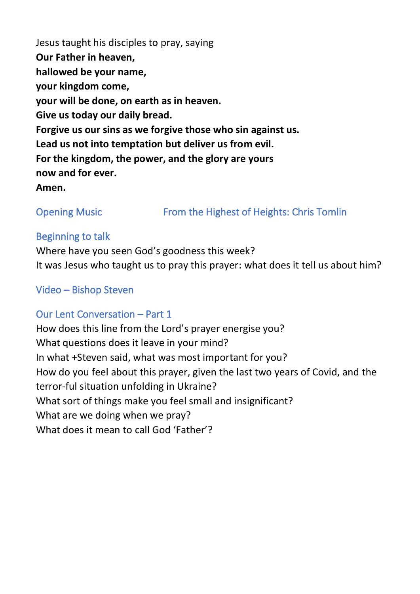Jesus taught his disciples to pray, saying **Our Father in heaven, hallowed be your name, your kingdom come, your will be done, on earth as in heaven. Give us today our daily bread. Forgive us our sins as we forgive those who sin against us. Lead us not into temptation but deliver us from evil. For the kingdom, the power, and the glory are yours now and for ever. Amen.**

Opening Music **From the Highest of Heights: Chris Tomlin** 

#### Beginning to talk

Where have you seen God's goodness this week? It was Jesus who taught us to pray this prayer: what does it tell us about him?

#### Video – Bishop Steven

### Our Lent Conversation – Part 1

How does this line from the Lord's prayer energise you? What questions does it leave in your mind? In what +Steven said, what was most important for you? How do you feel about this prayer, given the last two years of Covid, and the terror-ful situation unfolding in Ukraine? What sort of things make you feel small and insignificant? What are we doing when we pray? What does it mean to call God 'Father'?